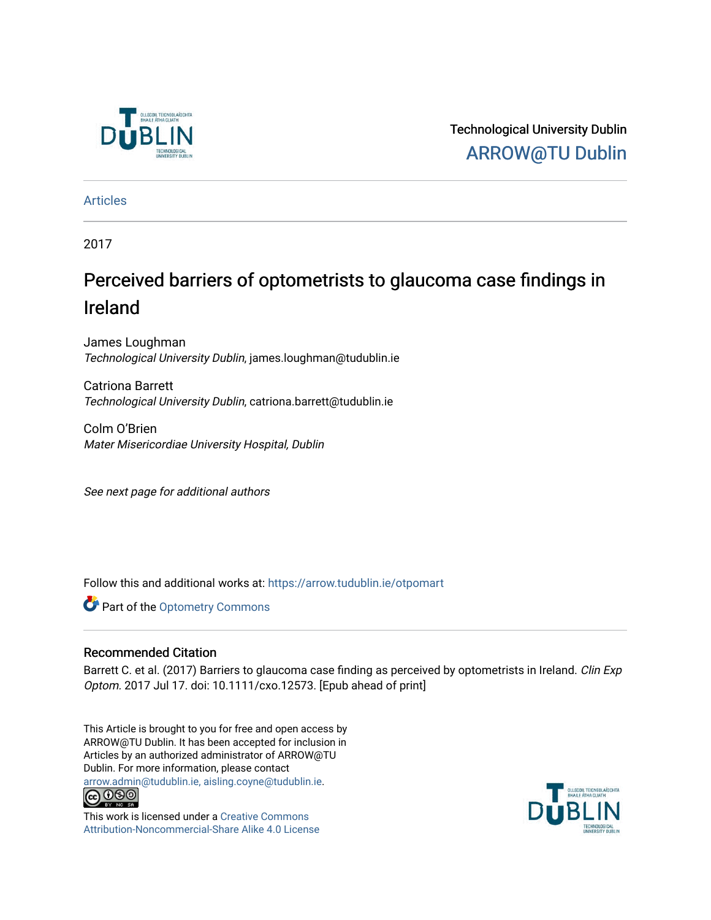

Technological University Dublin [ARROW@TU Dublin](https://arrow.tudublin.ie/) 

[Articles](https://arrow.tudublin.ie/otpomart)

2017

# Perceived barriers of optometrists to glaucoma case findings in Ireland

James Loughman Technological University Dublin, james.loughman@tudublin.ie

Catriona Barrett Technological University Dublin, catriona.barrett@tudublin.ie

Colm O'Brien Mater Misericordiae University Hospital, Dublin

See next page for additional authors

Follow this and additional works at: [https://arrow.tudublin.ie/otpomart](https://arrow.tudublin.ie/otpomart?utm_source=arrow.tudublin.ie%2Fotpomart%2F63&utm_medium=PDF&utm_campaign=PDFCoverPages)

**Part of the Optometry Commons** 

### Recommended Citation

Barrett C. et al. (2017) Barriers to glaucoma case finding as perceived by optometrists in Ireland. Clin Exp Optom. 2017 Jul 17. doi: 10.1111/cxo.12573. [Epub ahead of print]

This Article is brought to you for free and open access by ARROW@TU Dublin. It has been accepted for inclusion in Articles by an authorized administrator of ARROW@TU Dublin. For more information, please contact [arrow.admin@tudublin.ie, aisling.coyne@tudublin.ie](mailto:arrow.admin@tudublin.ie,%20aisling.coyne@tudublin.ie).<br>
co 000



This work is licensed under a [Creative Commons](http://creativecommons.org/licenses/by-nc-sa/4.0/) [Attribution-Noncommercial-Share Alike 4.0 License](http://creativecommons.org/licenses/by-nc-sa/4.0/)

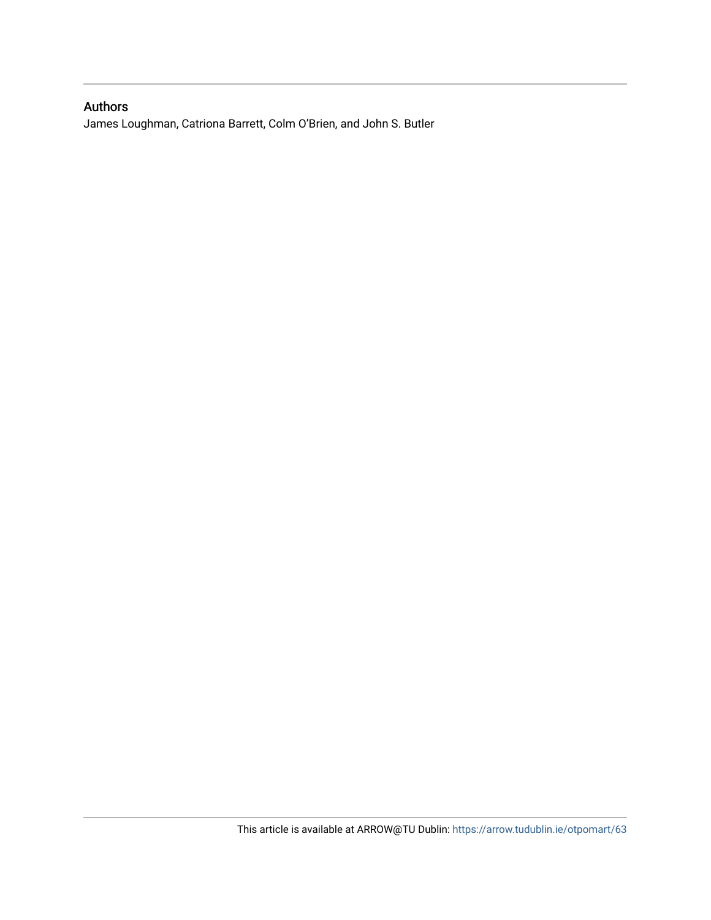# Authors

James Loughman, Catriona Barrett, Colm O'Brien, and John S. Butler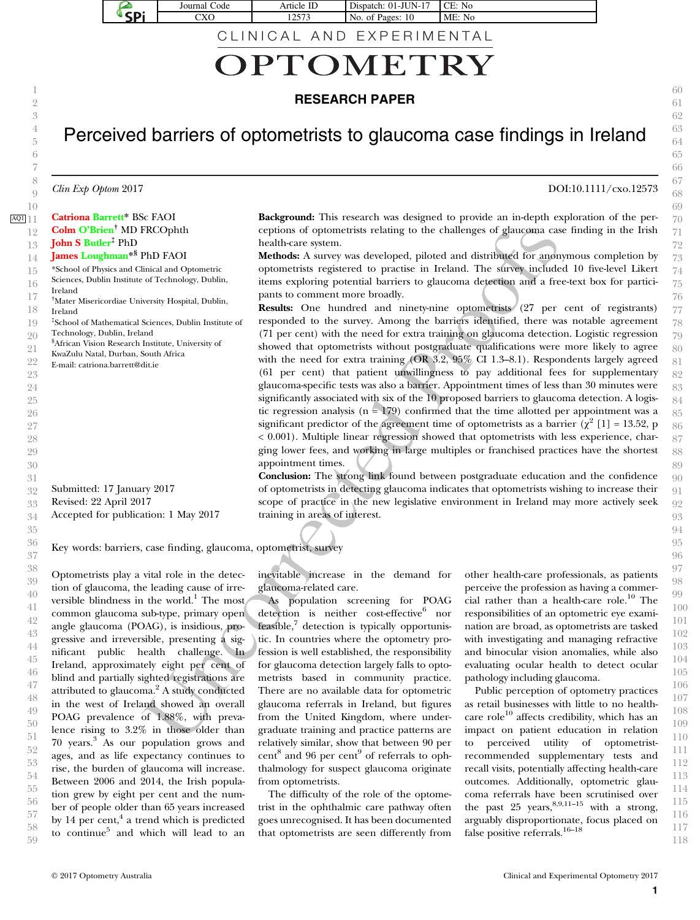<span id="page-2-0"></span>

|    | Code<br>Journal | $\sim$<br>Article<br>Ш | II IN-<br>$\sim$<br>Dispatch.<br>∵u∹JU⊥. | $\mathbf{r}$<br>CE:<br>No |
|----|-----------------|------------------------|------------------------------------------|---------------------------|
| -- | $\sim$<br>ēΔ    | 12572<br>ن ر ب         | No.<br>10<br>Pages:<br>Οİ                | ME:<br>N <sub>0</sub>     |
|    |                 |                        |                                          |                           |

CLINICAL AND EXPERIMENTAL

OPTOMETRY

## RESEARCH PAPER

Perceived barriers of optometrists to glaucoma case findings in Ireland

Clin Exp Optom 2017 DOI:10.1111/cxo.12573 **Catriona Barrett\* BSc FAOI** Colm O'Brien† MD FRCOphth John S Butler‡ PhD James Loughman\*§ PhD FAOI \*School of Physics and Clinical and Optometric Sciences, Dublin Institute of Technology, Dublin, Ireland † Mater Misericordiae University Hospital, Dublin, Ireland ‡ School of Mathematical Sciences, Dublin Institute of Technology, Dublin, Ireland § African Vision Research Institute, University of KwaZulu Natal, Durban, South Africa E-mail: [catriona.barrett@dit.ie](mailto:School of Physics and Clinical and Optometric SciencesDublin Institute of TechnologyDublinIrelandMater Misericordiae University HospitalDublinIrelandSchool of Mathematical SciencesDublin Institute of TechnologyDublinIrelandAfrican Vision Research InstituteUniversity of KwaZulu NatalDurbanSouth Africa) Submitted: 17 January 2017 Revised: 22 April 2017 Accepted for publication: 1 May 2017 Key words: barriers, case finding, glaucoma, optometrist, survey 9 10 AQ1 11 12 13 14 15 16 17 18 19 20 21 22 23 24 25 26 27 28  $90$ 30 31 32 33 34 35 36 37 38 39

Optometrists play a vital role in the detection of glaucoma, the leading cause of irreversible blindness in the world. $1$  The most common glaucoma sub-type, primary open angle glaucoma (POAG), is insidious, progressive and irreversible, presenting a significant public health challenge. In Ireland, approximately eight per cent of blind and partially sighted registrations are attributed to glaucoma. $2$  A study conducted in the west of Ireland showed an overall POAG prevalence of 1.88%, with prevalence rising to 3.2% in those older than 70 years.3 As our population grows and ages, and as life expectancy continues to rise, the burden of glaucoma will increase. Between 2006 and 2014, the Irish population grew by eight per cent and the number of people older than 65 years increased by 14 per cent, $4$  a trend which is predicted to continue<sup>5</sup> and which will lead to an

Background: This research was designed to provide an in-depth exploration of the perceptions of optometrists relating to the challenges of glaucoma case finding in the Irish health-care system. Methods: A survey was developed, piloted and distributed for anonymous completion by

optometrists registered to practise in Ireland. The survey included 10 five-level Likert items exploring potential barriers to glaucoma detection and a free-text box for participants to comment more broadly.

Results: One hundred and ninety-nine optometrists (27 per cent of registrants) responded to the survey. Among the barriers identified, there was notable agreement (71 per cent) with the need for extra training on glaucoma detection. Logistic regression showed that optometrists without postgraduate qualifications were more likely to agree with the need for extra training (OR 3.2, 95% CI 1.3–8.1). Respondents largely agreed (61 per cent) that patient unwillingness to pay additional fees for supplementary glaucoma-specific tests was also a barrier. Appointment times of less than 30 minutes were significantly associated with six of the 10 proposed barriers to glaucoma detection. A logistic regression analysis ( $n = 179$ ) confirmed that the time allotted per appointment was a significant predictor of the agreement time of optometrists as a barrier ( $\chi^2$  [1] = 13.52, p  $< 0.001$ ). Multiple linear regression showed that optometrists with less experience, charging lower fees, and working in large multiples or franchised practices have the shortest appointment times.

Conclusion: The strong link found between postgraduate education and the confidence of optometrists in detecting glaucoma indicates that optometrists wishing to increase their scope of practice in the new legislative environment in Ireland may more actively seek training in areas of interest.

inevitable increase in the demand for

glaucoma-related care. As population screening for POAG detection is neither cost-effective $6$  nor feasible,<sup>7</sup> detection is typically opportunistic. In countries where the optometry profession is well established, the responsibility for glaucoma detection largely falls to optometrists based in community practice. There are no available data for optometric glaucoma referrals in Ireland, but figures from the United Kingdom, where undergraduate training and practice patterns are relatively similar, show that between 90 per  $cent<sup>8</sup>$  and 96 per cent<sup>9</sup> of referrals to ophthalmology for suspect glaucoma originate from optometrists.

The difficulty of the role of the optometrist in the ophthalmic care pathway often goes unrecognised. It has been documented that optometrists are seen differently from other health-care professionals, as patients perceive the profession as having a commercial rather than a health-care role.<sup>10</sup> The responsibilities of an optometric eye examination are broad, as optometrists are tasked with investigating and managing refractive and binocular vision anomalies, while also evaluating ocular health to detect ocular pathology including glaucoma.

Public perception of optometry practices as retail businesses with little to no healthcare role $^{10}$  affects credibility, which has an impact on patient education in relation to perceived utility of optometristrecommended supplementary tests and recall visits, potentially affecting health-care outcomes. Additionally, optometric glaucoma referrals have been scrutinised over the past 25 years,  $8,9,11-15$  with a strong, arguably disproportionate, focus placed on false positive referrals.<sup>16–18</sup>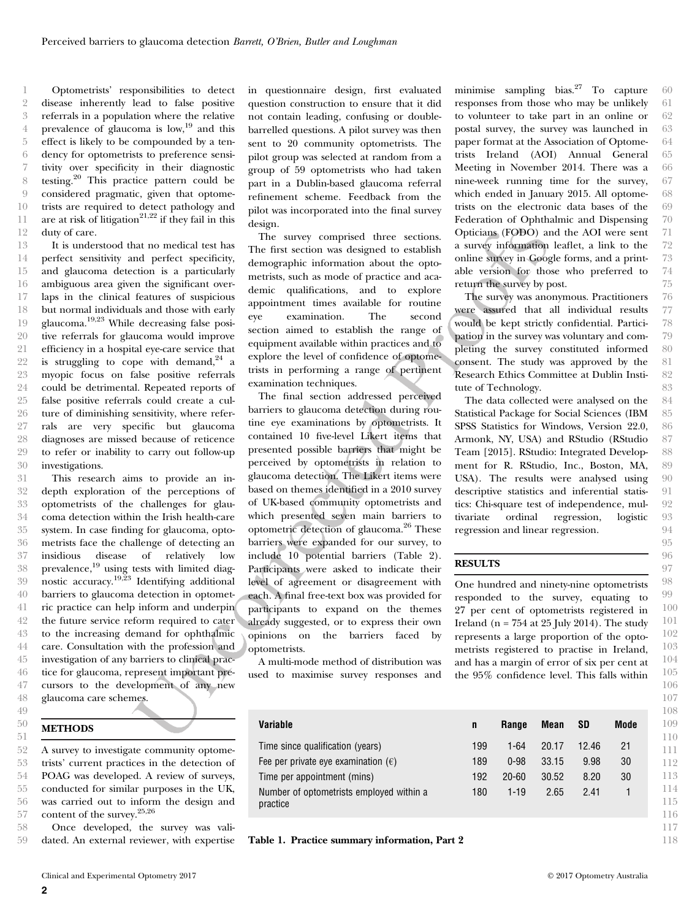Optometrists' responsibilities to detect disease inherently lead to false positive referrals in a population where the relative prevalence of glaucoma is  $low,^{19}$  and this effect is likely to be compounded by a tendency for optometrists to preference sensitivity over specificity in their diagnostic testing.<sup>20</sup> This practice pattern could be considered pragmatic, given that optometrists are required to detect pathology and are at risk of litigation<sup>21,22</sup> if they fail in this duty of care. 1 2 3 4 5 6 7 8  $Q$ 10 11 12

It is understood that no medical test has perfect sensitivity and perfect specificity, and glaucoma detection is a particularly ambiguous area given the significant overlaps in the clinical features of suspicious but normal individuals and those with early glaucoma.19,23 While decreasing false positive referrals for glaucoma would improve efficiency in a hospital eye-care service that is struggling to cope with demand,  $24$  a myopic focus on false positive referrals could be detrimental. Repeated reports of false positive referrals could create a culture of diminishing sensitivity, where referrals are very specific but glaucoma diagnoses are missed because of reticence to refer or inability to carry out follow-up investigations. 13 14 15 16 17 18 19  $20$ 21 22 23 24 95 26 27 28 99 30

This research aims to provide an indepth exploration of the perceptions of optometrists of the challenges for glaucoma detection within the Irish health-care system. In case finding for glaucoma, optometrists face the challenge of detecting an insidious disease of relatively low prevalence, $^{19}$  using tests with limited diagnostic accuracy.19,23 Identifying additional barriers to glaucoma detection in optometric practice can help inform and underpin the future service reform required to cater to the increasing demand for ophthalmic care. Consultation with the profession and investigation of any barriers to clinical practice for glaucoma, represent important precursors to the development of any new glaucoma care schemes. 31 32 33 34 35 36 37 38 39 40 41 42 43 44 45 46 47 48

#### METHODS

49  $50$ 51

A survey to investigate community optometrists' current practices in the detection of POAG was developed. A review of surveys, conducted for similar purposes in the UK, was carried out to inform the design and content of the survey.25,26 52 53 54 55 56 57

Once developed, the survey was validated. An external reviewer, with expertise 58 59

in questionnaire design, first evaluated question construction to ensure that it did not contain leading, confusing or doublebarrelled questions. A pilot survey was then sent to 20 community optometrists. The pilot group was selected at random from a group of 59 optometrists who had taken part in a Dublin-based glaucoma referral refinement scheme. Feedback from the pilot was incorporated into the final survey design.

The survey comprised three sections. The first section was designed to establish demographic information about the optometrists, such as mode of practice and academic qualifications, and to explore appointment times available for routine eye examination. The second section aimed to establish the range of equipment available within practices and to explore the level of confidence of optometrists in performing a range of pertinent examination techniques.

The final section addressed perceived barriers to glaucoma detection during routine eye examinations by optometrists. It contained 10 five-level Likert items that presented possible barriers that might be perceived by optometrists in relation to glaucoma detection. The Likert items were based on themes identified in a 2010 survey of UK-based community optometrists and which presented seven main barriers to optometric detection of glaucoma. $26$  These barriers were expanded for our survey, to include 10 potential barriers (Table 2). Participants were asked to indicate their level of agreement or disagreement with each. A final free-text box was provided for participants to expand on the themes already suggested, or to express their own opinions on the barriers faced by optometrists.

A multi-mode method of distribution was used to maximise survey responses and

#### Variable n Range Mean SD Mode

| Time since qualification (years)                     | 199 | 1-64      | 20.17 | 12.46 | 21 |
|------------------------------------------------------|-----|-----------|-------|-------|----|
| Fee per private eye examination $(\epsilon)$         | 189 | $0 - 98$  | 33.15 | 9.98  | 30 |
| Time per appointment (mins)                          | 192 | $20 - 60$ | 30.52 | 8.20  | 30 |
| Number of optometrists employed within a<br>practice | 180 | $1 - 19$  | 2.65  | 2.41  |    |

Table 1. Practice summary information, Part 2

minimise sampling bias.27 To capture responses from those who may be unlikely to volunteer to take part in an online or postal survey, the survey was launched in paper format at the Association of Optometrists Ireland (AOI) Annual General Meeting in November 2014. There was a nine-week running time for the survey, which ended in January 2015. All optometrists on the electronic data bases of the Federation of Ophthalmic and Dispensing Opticians (FODO) and the AOI were sent a survey information leaflet, a link to the online survey in Google forms, and a printable version for those who preferred to return the survey by post. 60 61 69 63 64 65 66 67 68 69 70 71 72 73 74 75

The survey was anonymous. Practitioners were assured that all individual results would be kept strictly confidential. Participation in the survey was voluntary and completing the survey constituted informed consent. The study was approved by the Research Ethics Committee at Dublin Institute of Technology. 76 77 78 79 80 81 82 83

The data collected were analysed on the Statistical Package for Social Sciences (IBM SPSS Statistics for Windows, Version 22.0, Armonk, NY, USA) and RStudio (RStudio Team [2015]. RStudio: Integrated Development for R. RStudio, Inc., Boston, MA, USA). The results were analysed using descriptive statistics and inferential statistics: Chi-square test of independence, multivariate ordinal regression, logistic regression and linear regression.

#### **RESULTS**

One hundred and ninety-nine optometrists responded to the survey, equating to 27 per cent of optometrists registered in Ireland ( $n = 754$  at 25 July 2014). The study represents a large proportion of the optometrists registered to practise in Ireland, and has a margin of error of six per cent at the 95% confidence level. This falls within

| 105 |
|-----|
| 106 |
| 107 |
| 108 |
| 109 |
| 110 |
| 111 |
| 112 |
| 113 |
| 114 |
| 115 |
| 16  |
| 7   |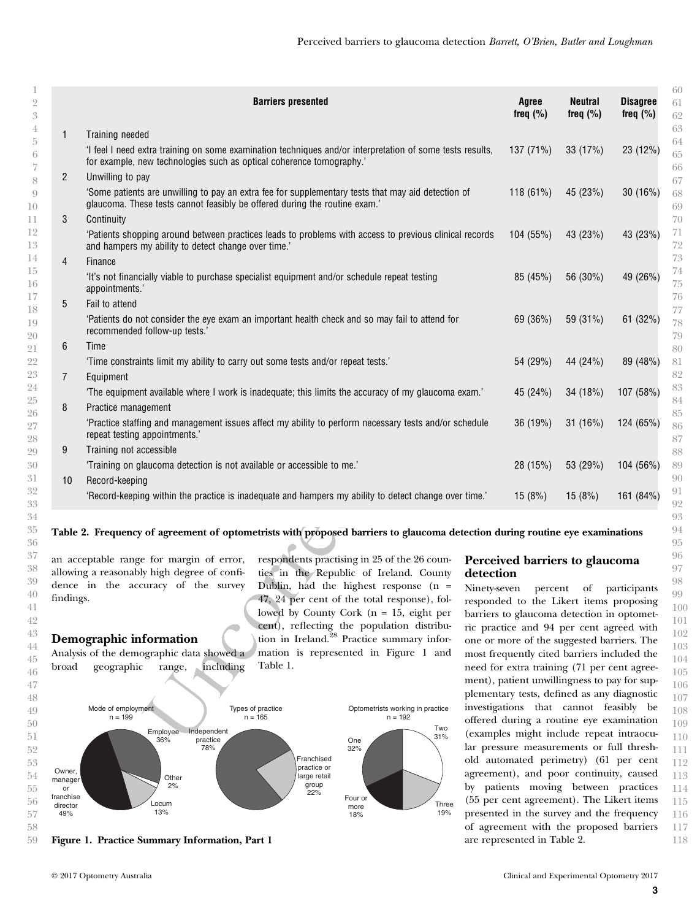|                | <b>Barriers presented</b>                                                                                                                                                        | Agree<br>freq $(\% )$ | <b>Neutral</b><br>freq $(\% )$ | <b>Disagree</b><br>freq $(\% )$ |
|----------------|----------------------------------------------------------------------------------------------------------------------------------------------------------------------------------|-----------------------|--------------------------------|---------------------------------|
| $\mathbf{1}$   | Training needed                                                                                                                                                                  |                       |                                |                                 |
|                | I feel I need extra training on some examination techniques and/or interpretation of some tests results,<br>for example, new technologies such as optical coherence tomography.' | 137 (71%)             | 33(17%)                        | 23 (12%)                        |
| $\overline{2}$ | Unwilling to pay                                                                                                                                                                 |                       |                                |                                 |
|                | Some patients are unwilling to pay an extra fee for supplementary tests that may aid detection of<br>glaucoma. These tests cannot feasibly be offered during the routine exam.'  | 118 $(61%)$           | 45 (23%)                       | 30(16%)                         |
| 3              | Continuity                                                                                                                                                                       |                       |                                |                                 |
|                | Patients shopping around between practices leads to problems with access to previous clinical records<br>and hampers my ability to detect change over time.                      | 104(55%)              | 43 (23%)                       | 43 (23%)                        |
| $\overline{4}$ | Finance                                                                                                                                                                          |                       |                                |                                 |
|                | 'it's not financially viable to purchase specialist equipment and/or schedule repeat testing<br>appointments.'                                                                   | 85 (45%)              | 56 (30%)                       | 49 (26%)                        |
| 5              | Fail to attend                                                                                                                                                                   |                       |                                |                                 |
|                | 'Patients do not consider the eye exam an important health check and so may fail to attend for<br>recommended follow-up tests.'                                                  | 69 (36%)              | 59 (31%)                       | 61 (32%)                        |
| 6              | Time                                                                                                                                                                             |                       |                                |                                 |
|                | 'Time constraints limit my ability to carry out some tests and/or repeat tests.'                                                                                                 | 54 (29%)              | 44 (24%)                       | 89 (48%)                        |
| 7              | Equipment                                                                                                                                                                        |                       |                                |                                 |
|                | 'The equipment available where I work is inadequate; this limits the accuracy of my glaucoma exam.'                                                                              | 45 (24%)              | 34 (18%)                       | 107 (58%)                       |
| 8              | Practice management                                                                                                                                                              |                       |                                |                                 |
|                | Practice staffing and management issues affect my ability to perform necessary tests and/or schedule<br>repeat testing appointments.'                                            | 36(19%)               | 31(16%)                        | 124 (65%)                       |
| 9              | Training not accessible                                                                                                                                                          |                       |                                |                                 |
| 10             | 'Training on glaucoma detection is not available or accessible to me.'<br>Record-keeping                                                                                         | 28 (15%)              | 53 (29%)                       | 104 (56%)                       |
|                | 'Record-keeping within the practice is inadequate and hampers my ability to detect change over time.'                                                                            | 15(8%)                | 15(8%)                         | 161 (84%)                       |

#### Table 2. Frequency of agreement of optometrists with proposed barriers to glaucoma detection during routine eye examinations

an acceptable range for margin of error, allowing a reasonably high degree of confidence in the accuracy of the survey findings.

### Demographic information

Analysis of the demographic data showed a broad geographic range, including

respondents practising in 25 of the 26 counties in the Republic of Ireland. County Dublin, had the highest response  $(n =$ 47, 24 per cent of the total response), followed by County Cork (n = 15, eight per cent), reflecting the population distribution in Ireland.<sup>28</sup> Practice summary information is represented in Figure 1 and Table 1.



#### Figure 1. Practice Summary Information, Part 1

Perceived barriers to glaucoma detection

Ninety-seven percent of participants responded to the Likert items proposing barriers to glaucoma detection in optometric practice and 94 per cent agreed with one or more of the suggested barriers. The most frequently cited barriers included the need for extra training (71 per cent agreement), patient unwillingness to pay for supplementary tests, defined as any diagnostic investigations that cannot feasibly be offered during a routine eye examination (examples might include repeat intraocular pressure measurements or full threshold automated perimetry) (61 per cent agreement), and poor continuity, caused by patients moving between practices (55 per cent agreement). The Likert items presented in the survey and the frequency of agreement with the proposed barriers are represented in Table 2. 98 99 100 101 102 103 104 105 106 107 108 109 110 111 112 113 114 115 116 117 118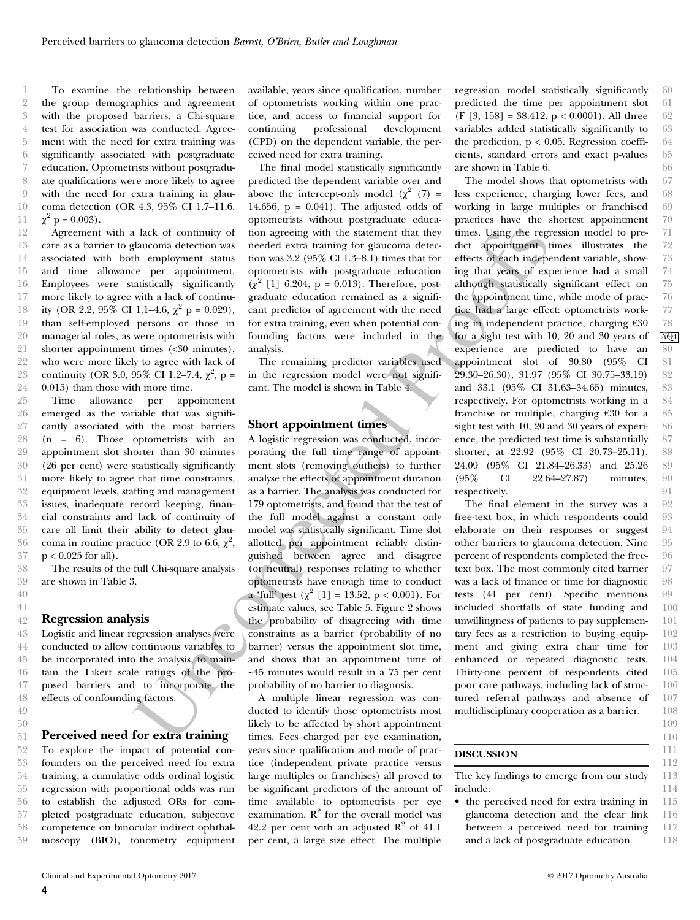<span id="page-5-0"></span>To examine the relationship between the group demographics and agreement with the proposed barriers, a Chi-square test for association was conducted. Agreement with the need for extra training was significantly associated with postgraduate education. Optometrists without postgraduate qualifications were more likely to agree with the need for extra training in glaucoma detection (OR 4.3, 95% CI 1.7–11.6.  $\chi^2$  p = 0.003). 1 2 3 4 5 6 7 8  $\overline{Q}$ 10 11

Agreement with a lack of continuity of care as a barrier to glaucoma detection was associated with both employment status and time allowance per appointment. Employees were statistically significantly more likely to agree with a lack of continuity (OR 2.2, 95% CI 1.1–4.6,  $\chi^2$  p = 0.029), than self-employed persons or those in managerial roles, as were optometrists with shorter appointment times (<30 minutes), who were more likely to agree with lack of continuity (OR 3.0, 95% CI 1.2–7.4,  $\chi^2$ , p = 0.015) than those with more time. 12 13 14 15 16 17 18 19  $20$ 21 22 23 24

Time allowance per appointment emerged as the variable that was significantly associated with the most barriers (n = 6). Those optometrists with an appointment slot shorter than 30 minutes (26 per cent) were statistically significantly more likely to agree that time constraints, equipment levels, staffing and management issues, inadequate record keeping, financial constraints and lack of continuity of care all limit their ability to detect glaucoma in routine practice (OR 2.9 to 6.6,  $\chi^2$ ,  $p < 0.025$  for all). 25 26 27 28 29 30 31 32 33 34 35 36 37

The results of the full Chi-square analysis are shown in Table 3.

#### Regression analysis 42

Logistic and linear regression analyses were conducted to allow continuous variables to be incorporated into the analysis, to maintain the Likert scale ratings of the proposed barriers and to incorporate the effects of confounding factors. 43 44 45 46 47 48

49  $50$ 

#### Perceived need for extra training 51

To explore the impact of potential confounders on the perceived need for extra training, a cumulative odds ordinal logistic regression with proportional odds was run to establish the adjusted ORs for completed postgraduate education, subjective competence on binocular indirect ophthalmoscopy (BIO), tonometry equipment 52 53 54 55 56 57 58 59

available, years since qualification, number of optometrists working within one practice, and access to financial support for continuing professional development (CPD) on the dependent variable, the perceived need for extra training.

The final model statistically significantly predicted the dependent variable over and above the intercept-only model ( $\chi^2$  (7) = 14.656,  $p = 0.041$ . The adjusted odds of optometrists without postgraduate education agreeing with the statement that they needed extra training for glaucoma detection was 3.2 (95% CI 1.3–8.1) times that for optometrists with postgraduate education  $(\chi^2$  [1] 6.204, p = 0.013). Therefore, postgraduate education remained as a significant predictor of agreement with the need for extra training, even when potential confounding factors were included in the analysis.

The remaining predictor variables used in the regression model were not significant. The model is shown in Table 4.

#### Short appointment times

A logistic regression was conducted, incorporating the full time range of appointment slots (removing outliers) to further analyse the effects of appointment duration as a barrier. The analysis was conducted for 179 optometrists, and found that the test of the full model against a constant only model was statistically significant. Time slot allotted per appointment reliably distinguished between agree and disagree (or neutral) responses relating to whether optometrists have enough time to conduct a 'full' test  $(\chi^2 \text{ [1]} = 13.52, \text{ p} < 0.001)$ . For estimate values, see Table 5. Figure 2 shows the probability of disagreeing with time constraints as a barrier (probability of no barrier) versus the appointment slot time, and shows that an appointment time of ~45 minutes would result in a 75 per cent probability of no barrier to diagnosis.

A multiple linear regression was conducted to identify those optometrists most likely to be affected by short appointment times. Fees charged per eye examination, years since qualification and mode of practice (independent private practice versus large multiples or franchises) all proved to be significant predictors of the amount of time available to optometrists per eye examination.  $R^2$  for the overall model was 42.2 per cent with an adjusted  $\mathbb{R}^2$  of 41.1 per cent, a large size effect. The multiple

regression model statistically significantly predicted the time per appointment slot  $(F [3, 158] = 38.412, p < 0.0001)$ . All three variables added statistically significantly to the prediction,  $p < 0.05$ . Regression coefficients, standard errors and exact p-values are shown in Table 6. 60 61 69 63 64 65 66

88

91

The model shows that optometrists with less experience, charging lower fees, and working in large multiples or franchised practices have the shortest appointment times. Using the regression model to predict appointment times illustrates the effects of each independent variable, showing that years of experience had a small although statistically significant effect on the appointment time, while mode of practice had a large effect: optometrists working in independent practice, charging €30 for a sight test with  $10$ ,  $20$  and  $30$  years of experience are predicted to have an appointment slot of 30.80 (95% CI 29.30–26.30), 31.97 (95% CI 30.75–33.19) and 33.1 (95% CI 31.63–34.65) minutes, respectively. For optometrists working in a franchise or multiple, charging €30 for a sight test with 10, 20 and 30 years of experience, the predicted test time is substantially shorter, at 22.92 (95% CI 20.73–25.11), 24.09 (95% CI 21.84–26.33) and 25.26 (95% CI 22.64–27.87) minutes, respectively. AQ4 87 89 90

The final element in the survey was a free-text box, in which respondents could elaborate on their responses or suggest other barriers to glaucoma detection. Nine percent of respondents completed the freetext box. The most commonly cited barrier was a lack of finance or time for diagnostic tests (41 per cent). Specific mentions included shortfalls of state funding and unwillingness of patients to pay supplementary fees as a restriction to buying equipment and giving extra chair time for enhanced or repeated diagnostic tests. Thirty-one percent of respondents cited poor care pathways, including lack of structured referral pathways and absence of multidisciplinary cooperation as a barrier. 99  $Q<sub>2</sub>$ 94 95 96 97 98

#### DISCUSSION

The key findings to emerge from our study include:

• the perceived need for extra training in glaucoma detection and the clear link between a perceived need for training and a lack of postgraduate education 115 116 117 118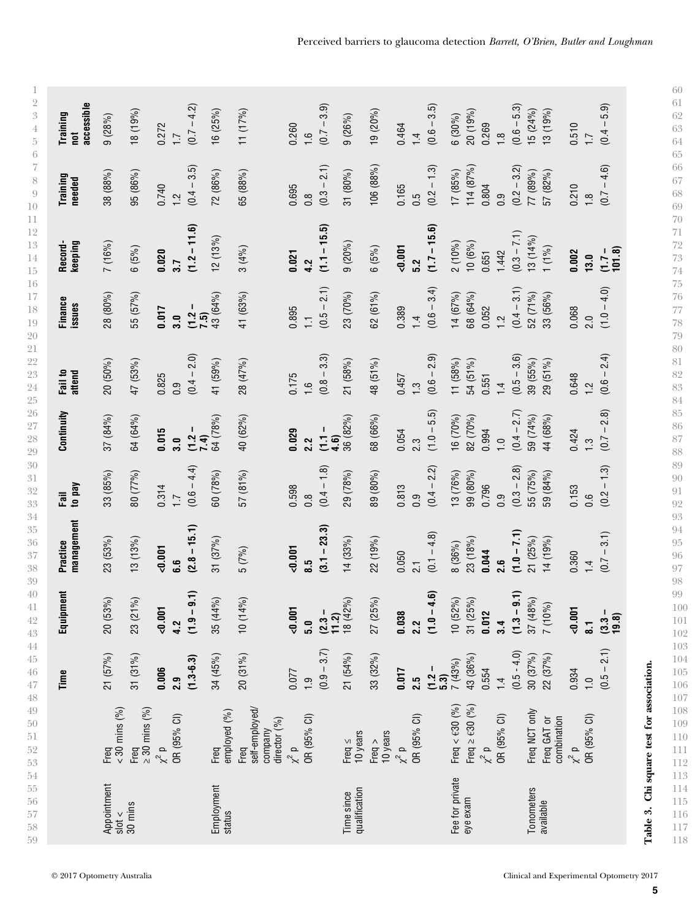| accessible<br>Training<br>not            | 9(28%)                  | 18 (19%)                   | 0.272          | $\overline{1.7}$ | $(0.7 - 4.2)$                   | 16 (25%)             | 11(17%)                                           | 0.260          | $\frac{6}{1}$           | $(0.7 - 3.9)$                    | 9(26%)                      | 19 (20%)              | 0.464           | $1\overline{4}$ | $(0.6 - 3.5)$                   | $6(30\%)$               | 20 (19%)                          | 0.269          | 1,8                        | $(0.6 - 5.3)$                  | 15 (24%)             | 13 (19%)                   | 0.510          | $\overline{1.7}$         | $(0.4 - 5.9)$                       |
|------------------------------------------|-------------------------|----------------------------|----------------|------------------|---------------------------------|----------------------|---------------------------------------------------|----------------|-------------------------|----------------------------------|-----------------------------|-----------------------|-----------------|-----------------|---------------------------------|-------------------------|-----------------------------------|----------------|----------------------------|--------------------------------|----------------------|----------------------------|----------------|--------------------------|-------------------------------------|
| Training<br>needed<br>Record-<br>keeping | 38 (88%)<br>7 (16%)     | 95 (86%)<br>6(5%)          | 0.740<br>0.020 | 12<br>3.7        | $(0.4 - 3.5)$<br>$(1.2 - 11.6)$ | 72 (86%)<br>12 (13%) | 65 (88%)<br>3(4%)                                 | 0.695<br>0.021 | $\overline{0.8}$<br>4.2 | $(0.3 - 2.1)$<br>$(1.1 - 15.5)$  | 31 (80%)<br>9(20%)          | 106 (88%)<br>$6(5\%)$ | 0.165<br>100000 | 0.5<br>5.2      | $(0.2 - 1.3)$<br>$(1.7 - 15.6)$ | 17(85%)                 | 114(87%)<br>$2(10%)$<br>10 $(6%)$ | 0.804<br>0.651 | $\overline{0}$ .0<br>1.442 | $(0.2 - 3.2)$<br>$(0.3 - 7.1)$ | 77 (89%)<br>13 (14%) | 57 (82%)<br>$1(1\%)$       | 0.210<br>0.002 | $\frac{8}{1}$<br>13.0    | $(0.7 - 4.6)$<br>$(1.7 -$<br>101.8) |
| Finance<br>issues                        | 28 (80%)                | 55 (57%)                   | 0.017          | 3.0              | $(1.2 -$<br>7.5)                | 43 (64%)             | 41 (63%)                                          | 0.895          | $\overline{L}$          | $(0.5 - 2.1)$                    | 23 (70%)                    | 62 (61%)              | 0.389           | $\overline{14}$ | $(0.6 - 3.4)$                   | 14 (67%)                | 68 (64%)                          | 0.052          | 1.2                        | $(0.4 - 3.1)$                  | 52 (71%)             | 33 (56%)                   | 0.068          | 2.0                      | $(1.0 - 4.0)$                       |
| Fail to<br>attend                        | 20 (50%)                | 47 (53%)                   | 0.825          | $\overline{0}$ . | $(0.4 - 2.0)$                   | 41 (59%)             | 28 (47%)                                          | 0.175          | $-1.6$                  | $(0.8 - 3.3)$                    | 21 (58%)                    | 48 (51%)              | 0.457           | $\ddot{3}$      | $(0.6 - 2.9)$                   | 11(58%)                 | 54 (51%)                          | 0.551          | $1\overline{4}$            | $(0.5 - 3.6)$                  | 39 (55%)             | 29 (51%)                   | 0.648          |                          | 2.4)<br>$-9.0$                      |
| Continuity                               | 37 (84%)                | 64 (64%)                   | 0.015          | 3.0              | $\frac{1}{7}$ $\frac{2}{4}$     | 64 (78%)             | 40 (62%)                                          | 0.029          | 2.2                     | $\frac{1}{2}$<br>4.6)            | 36 (82%)                    | 68 (66%)              | 0.054           | 2.3             | $(1.0 - 5.5)$                   |                         | 16 (70%)<br>82 (70%)              | 0.994          | 1.0                        | $(0.4 - 2.7)$                  | 59 (74%)             | 44 (68%)                   | 0.424          | $\ddot{ }$               | $(0.7 - 2.8)$                       |
| to pay<br>Fail                           | 33 (85%)                | 80 (77%)                   | 0.314          | $\overline{1}$   | $(0.6 - 4.4)$                   | 60 (78%)             | 57 (81%)                                          | 0.598          | $\frac{8}{2}$           | $(0.4 - 1.8)$                    | 29 (78%)                    | 89 (80%)              | 0.813           | 0.9             | $(0.4 - 2.2)$                   | $13(76%)$<br>99 $(80%)$ |                                   | 0.796          | 0.9                        | $(0.3 - 2.8)$                  | 55 (75%)             | 59 (84%)                   | 0.153          | $\frac{6}{2}$            | $(0.2 - 1.3)$                       |
| management<br>Practice                   | 23 (53%)                | 13 (13%)                   | $-0.001$       | 6.6              | $(2.8 - 15.1)$                  | 31 (37%)             | 5(7%)                                             | $-0.001$       | 8.5                     | $(3.1 - 23.3)$                   | 14 (33%)                    | 22 (19%)              | 0.050           | 2.1             | $(0.1 - 4.8)$                   | 8(36%)                  | 23 (18%)                          | 0.044          | 2.6                        | $(1.0 - 7.1)$                  | 21 (25%)             | 14 (19%)                   | 0.360          | $\frac{4}{1}$            | 3.1)<br>$(0.7 -$                    |
| Equipment                                | 20(53%)                 | 23 (21%)                   | $-0.00$        | 4.2              | $(1.9 - 9.1)$                   | 35 (44%)             | 4%)<br>10(1)                                      | $-0.00$        | 5.0                     | $(2.3 -$<br>11.2)<br>18 $(42\%)$ |                             | 27 (25%)              | 0.038           | 2.2             | $(1.0 - 4.6)$                   | 10(52%)                 | 31 (25%)                          | 0.012          | 3.4                        | $(1.3 - 9.1)$                  | 37 (48%)             | 7 (10%)                    | $-0.001$       | $\overline{\phantom{a}}$ | $(3.3 -$<br>19.8)                   |
| Time                                     | 21(57%)                 | $31(31\%)$                 | 0.006          | 2.9              | $(1.3 - 6.3)$                   | 34 (45%)             | 20 (31%)                                          | 0.077          | $\frac{0}{1}$           | $(0.9 - 3.7)$                    | 21 (54%)                    | 33 (32%)              | 0.017           | 2.5             | L<br>$\ddot{1}$ .               | $\frac{5.3}{7}$ (43%)   | 43 (36%)                          | 0.554          | 1.4                        | $(0.5 - 4.0)$                  | 30 (37%)             | 22 (37%)                   | 0.934          | $\overline{1}$ .0        | 2.1)<br>$(0.5 -$                    |
|                                          | Freq<br>$<$ 30 mins (%) | Freq<br>$\geq 30$ mins (%) | $\chi^2$ p     | OR (95% CI)      |                                 | employed (%)<br>Freq | self-employed/<br>director (%)<br>company<br>Freq | $\chi^2$ p     | OR (95% CI)             |                                  | 10 years<br>Freq $\leq$     | 10 years<br>Freq >    | $\chi^2$ p      | OR (95% CI)     |                                 | Freq < $630$ (%)        | Freq $\geq$ $\in$ 30 (%)          | $\chi^2$ p     | OR (95% CI)                |                                | Freq NCT only        | combination<br>Freq GAT or | $\chi^2$ p     | OR (95% CI)              |                                     |
|                                          | Appointment<br>slot <   | 30 mins                    |                |                  |                                 | Employment<br>status |                                                   |                |                         |                                  | qualification<br>Time since |                       |                 |                 |                                 | Fee for private         | eye exam                          |                |                            |                                | Tonometers           | available                  |                |                          |                                     |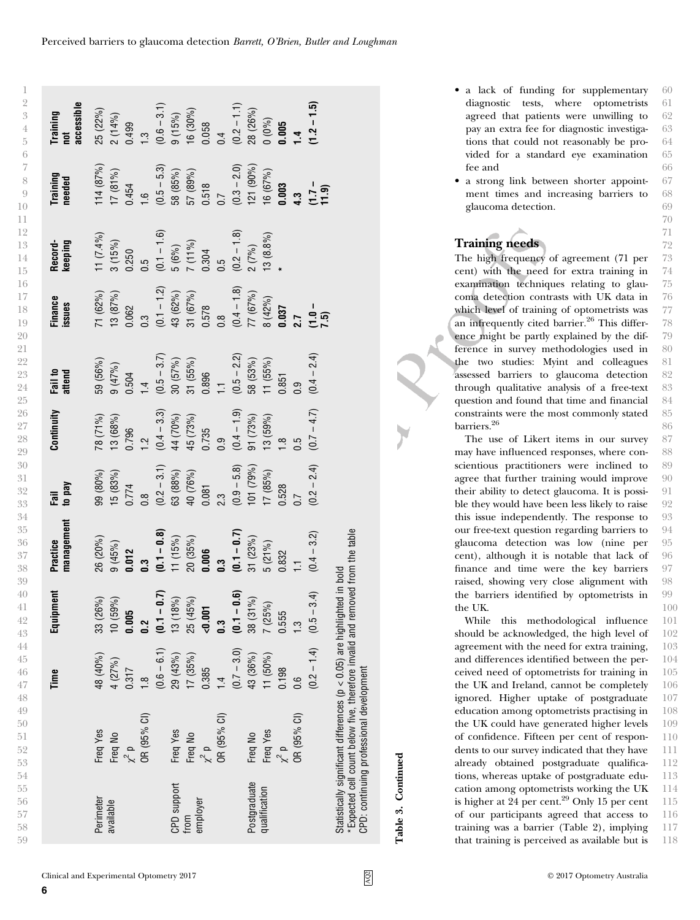<span id="page-7-0"></span>1

|                                 |                                                                                                                                                                                                       | Time                                                            | Equipment                                                                                | management<br>Practice                                                                                                                    | Fail<br>to pay                                                                                                                             | Continuity                                                                                                         | Fail to<br>attend                                                                                                                                           | Finance<br>issues                                                                                                              | Record-<br>keeping                                                                                                                | Training<br>needed                                                                                                                     | Training<br>not<br>accessible                                                                                                        |
|---------------------------------|-------------------------------------------------------------------------------------------------------------------------------------------------------------------------------------------------------|-----------------------------------------------------------------|------------------------------------------------------------------------------------------|-------------------------------------------------------------------------------------------------------------------------------------------|--------------------------------------------------------------------------------------------------------------------------------------------|--------------------------------------------------------------------------------------------------------------------|-------------------------------------------------------------------------------------------------------------------------------------------------------------|--------------------------------------------------------------------------------------------------------------------------------|-----------------------------------------------------------------------------------------------------------------------------------|----------------------------------------------------------------------------------------------------------------------------------------|--------------------------------------------------------------------------------------------------------------------------------------|
| Perimeter<br>available          | OR (95% CI)<br>Freq Yes<br>Freq No<br>$\chi^2$ p                                                                                                                                                      | $(0.6 - 6.1)$<br>48 (40%)<br>4(27%)<br>0.317<br>$\frac{8}{1}$   | $33 (26%)$<br>10 (59%)<br>0.005<br>$\overline{0.2}$                                      |                                                                                                                                           |                                                                                                                                            |                                                                                                                    |                                                                                                                                                             |                                                                                                                                |                                                                                                                                   |                                                                                                                                        |                                                                                                                                      |
| CPD support<br>employer<br>from | OR (95% CI)<br>Freq Yes<br>Freq No<br>$\chi^2$ p                                                                                                                                                      | $(0.7 - 3.0)$<br>29 (43%)<br>17(35%)<br>0.385<br>$\overline{1}$ | $(0.1 - 0.7)$<br>$13 (18%)$<br>$25 (45%)$<br>$< 0.001$<br>0.3<br>0.3                     |                                                                                                                                           |                                                                                                                                            | 78 (71%)<br>13 (68%)<br>0.796<br>0.796<br>12 (70%)<br>45 (73%)<br>0.9<br>0.9<br>0.4 – 1.9)<br>91 (73%)<br>91 (73%) | 59 (56%)<br>9 (47%)<br>0.504<br>1.4<br>(0.5 – 3.7)<br>30 (57%)<br>31 (55%)<br>1.1<br>1.5 – 2.2)<br>58 (53%)<br>11 (55%)<br>11 (55%)<br>11 (55%)<br>11 (55%) |                                                                                                                                | 11 $(7.4\%)$<br>3 $(15\%)$<br>0.250<br>0.5<br>0.5<br>5 $(6\%)$<br>7 $(11\%)$<br>0.5<br>0.5<br>2 $(7\%)$<br>2 $(1\%)$<br>2 $(1\%)$ |                                                                                                                                        |                                                                                                                                      |
| Postgraduate<br>qualification   | OR (95% CI)<br>Freq Yes<br>Freq No<br>$\chi^2$ p                                                                                                                                                      | 43 (36%)<br>$11(50\%)$<br>0.198<br>$\frac{6}{5}$                | $(0.1 - 0.6)$<br>38 (31%)<br>7 (25%)<br>0.555<br>$(0.2 - 1.4)$ $(0.5 - 3.4)$<br><u>ო</u> | 26 (20%)<br>9 (45%)<br>9 (45%)<br><b>0.01 2</b><br><b>0.3</b><br>20 (35%)<br><b>0.33</b><br><b>0.332</b><br>5 (21%)<br>5 (21%)<br>5 (21%) | 99 (80%)<br>15 (83%)<br>0.774<br>0.8<br>(0.2 – 3.1)<br>63 (88%)<br>40 (76%)<br>0.9 – 5.8)<br>10 (79%)<br>17 (85%)<br>0.528<br>0.7<br>0.528 | $(0.7 - 4.7)$                                                                                                      | $(0.4 - 2.4)$                                                                                                                                               | 71 (62%)<br>13 (87%)<br>0.062<br>0.3<br>0.3 (62%)<br>31 (67%)<br>0.4 – 1.8)<br>0.04 – 1.8)<br>7.0<br>7.0<br>8 (42%)<br>8 (42%) |                                                                                                                                   | 114 (87%)<br>17 (81%)<br>0.454<br>1.6<br>57 (89%)<br>57 (80%)<br>0.518<br>0.03 – 2.0)<br>121 (90%)<br>17 (90%)<br>16 (67%)<br>16 (67%) | 25 (22%)<br>2 (14%)<br>0.499<br>1.3<br>(0.6 – 3.1)<br>1.3<br>1.6 (30%)<br>1.5)<br>0.02 – 1.1)<br>0.005<br>0.005<br>1.4<br>1.2 – 1.5) |
|                                 | Statistically significant differences (ρ < 0.05) are highlighted in bold<br>*Expected cell count below five, therefore invalid and removed from the table<br>CPD: continuing professional development |                                                                 |                                                                                          |                                                                                                                                           |                                                                                                                                            |                                                                                                                    |                                                                                                                                                             |                                                                                                                                |                                                                                                                                   |                                                                                                                                        |                                                                                                                                      |

Table 3. Continued Table 3. Continued • a lack of funding for supplementary diagnostic tests, where optometrists agreed that patients were unwilling to pay an extra fee for diagnostic investigations that could not reasonably be provided for a standard eye examination fee and 60 61 62 63 64 65 66

• a strong link between shorter appointment times and increasing barriers to glaucoma detection. 67 68 69

> 70 71 72

# Training needs

The high frequency of agreement (71 per cent) with the need for extra training in examination techniques relating to glaucoma detection contrasts with UK data in which level of training of optometrists was an infrequently cited barrier.<sup>26</sup> This difference might be partly explained by the difference in survey methodologies used in the two studies: Myint and colleagues assessed barriers to glaucoma detection through qualitative analysis of a free-text question and found that time and financial constraints were the most commonly stated barriers.<sup>26</sup> 73 74 75 76 77 78 79 80 81 82 83 84 85 86

The use of Likert items in our survey may have influenced responses, where conscientious practitioners were inclined to agree that further training would improve their ability to detect glaucoma. It is possible they would have been less likely to raise this issue independently. The response to our free-text question regarding barriers to glaucoma detection was low (nine per cent), although it is notable that lack of finance and time were the key barriers raised, showing very close alignment with the barriers identified by optometrists in the UK. 87 88 89 90  $Q_1$ 99  $Q<sub>2</sub>$ 94 95 96 97 98 99 100

While this methodological influence should be acknowledged, the high level of agreement with the need for extra training, and differences identified between the perceived need of optometrists for training in the UK and Ireland, cannot be completely ignored. Higher uptake of postgraduate education among optometrists practising in the UK could have generated higher levels of confidence. Fifteen per cent of respondents to our survey indicated that they have already obtained postgraduate qualifications, whereas uptake of postgraduate education among optometrists working the UK is higher at 24 per cent.<sup>29</sup> Only 15 per cent of our participants agreed that access to training was a barrier (Table 2), implying that training is perceived as available but is 101 102 103 104 105 106 107 108 109 110 111 112 113 114 115 116 117 118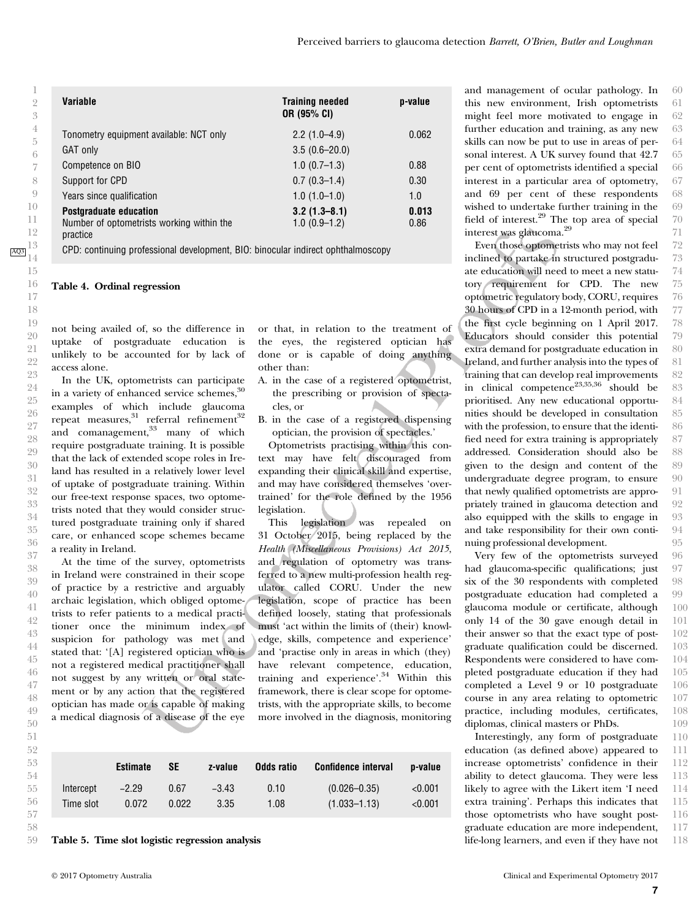and management of ocular pathology. In this new environment, Irish optometrists might feel more motivated to engage in further education and training, as any new skills can now be put to use in areas of personal interest. A UK survey found that 42.7 per cent of optometrists identified a special interest in a particular area of optometry, and 69 per cent of these respondents wished to undertake further training in the field of interest. $29$  The top area of special

Even those optometrists who may not feel inclined to partake in structured postgraduate education will need to meet a new statutory requirement for CPD. The new optometric regulatory body, CORU, requires 30 hours of CPD in a 12-month period, with the first cycle beginning on 1 April 2017. Educators should consider this potential extra demand for postgraduate education in Ireland, and further analysis into the types of training that can develop real improvements in clinical competence<sup>23,35,36</sup> should be prioritised. Any new educational opportunities should be developed in consultation with the profession, to ensure that the identified need for extra training is appropriately addressed. Consideration should also be given to the design and content of the undergraduate degree program, to ensure that newly qualified optometrists are appropriately trained in glaucoma detection and also equipped with the skills to engage in and take responsibility for their own conti-

interest was glaucoma.29

nuing professional development.

Very few of the optometrists surveyed had glaucoma-specific qualifications; just six of the 30 respondents with completed postgraduate education had completed a glaucoma module or certificate, although only 14 of the 30 gave enough detail in their answer so that the exact type of postgraduate qualification could be discerned. Respondents were considered to have completed postgraduate education if they had completed a Level 9 or 10 postgraduate course in any area relating to optometric practice, including modules, certificates, diplomas, clinical masters or PhDs.

<span id="page-8-0"></span>

| Variable                                                                        | <b>Training needed</b><br>OR (95% CI) | p-value       |
|---------------------------------------------------------------------------------|---------------------------------------|---------------|
| Tonometry equipment available: NCT only                                         | $2.2(1.0-4.9)$                        | 0.062         |
| GAT only                                                                        | $3.5(0.6 - 20.0)$                     |               |
| Competence on BIO                                                               | $1.0(0.7-1.3)$                        | 0.88          |
| Support for CPD                                                                 | $0.7(0.3-1.4)$                        | 0.30          |
| Years since qualification                                                       | $1.0(1.0-1.0)$                        | 1.0           |
| Postgraduate education<br>Number of optometrists working within the<br>practice | $3.2(1.3 - 8.1)$<br>$1.0(0.9-1.2)$    | 0.013<br>0.86 |

 $\overline{AQ3}$  $\overline{AQ3}$  $\overline{AQ3}$  CPD: continuing professional development, BIO: binocular indirect ophthalmoscopy

#### Table 4. Ordinal regression

not being availed of, so the difference in uptake of postgraduate education is unlikely to be accounted for by lack of access alone.

In the UK, optometrists can participate in a variety of enhanced service schemes,  $30$ examples of which include glaucoma repeat measures, $31$  referral refinement $32$ and comanagement, $33$  many of which require postgraduate training. It is possible that the lack of extended scope roles in Ireland has resulted in a relatively lower level of uptake of postgraduate training. Within our free-text response spaces, two optometrists noted that they would consider structured postgraduate training only if shared care, or enhanced scope schemes became a reality in Ireland.

At the time of the survey, optometrists in Ireland were constrained in their scope of practice by a restrictive and arguably archaic legislation, which obliged optometrists to refer patients to a medical practitioner once the minimum index of suspicion for pathology was met and stated that: '[A] registered optician who is not a registered medical practitioner shall not suggest by any written or oral statement or by any action that the registered optician has made or is capable of making a medical diagnosis of a disease of the eye

or that, in relation to the treatment of the eyes, the registered optician has done or is capable of doing anything other than:

- A. in the case of a registered optometrist, the prescribing or provision of spectacles, or
- B. in the case of a registered dispensing optician, the provision of spectacles.'

Optometrists practising within this context may have felt discouraged from expanding their clinical skill and expertise, and may have considered themselves 'overtrained' for the role defined by the 1956 legislation.

This legislation was repealed on 31 October 2015, being replaced by the Health (Miscellaneous Provisions) Act 2015, and regulation of optometry was transferred to a new multi-profession health regulator called CORU. Under the new legislation, scope of practice has been defined loosely, stating that professionals must 'act within the limits of (their) knowledge, skills, competence and experience' and 'practise only in areas in which (they) have relevant competence, education, training and experience'.<sup>34</sup> Within this framework, there is clear scope for optometrists, with the appropriate skills, to become more involved in the diagnosis, monitoring

|                        | <b>Estimate</b>  | SE            | z-value         | Odds ratio   | <b>Confidence interval</b>           | p-value            |
|------------------------|------------------|---------------|-----------------|--------------|--------------------------------------|--------------------|
| Intercept<br>Time slot | $-2.29$<br>0.072 | 0.67<br>0.022 | $-3.43$<br>3.35 | 0.10<br>1.08 | $(0.026 - 0.35)$<br>$(1.033 - 1.13)$ | < 0.001<br>< 0.001 |
|                        |                  |               |                 |              |                                      |                    |

#### Table 5. Time slot logistic regression analysis

Interestingly, any form of postgraduate education (as defined above) appeared to increase optometrists' confidence in their ability to detect glaucoma. They were less likely to agree with the Likert item 'I need extra training'. Perhaps this indicates that those optometrists who have sought postgraduate education are more independent, life-long learners, and even if they have not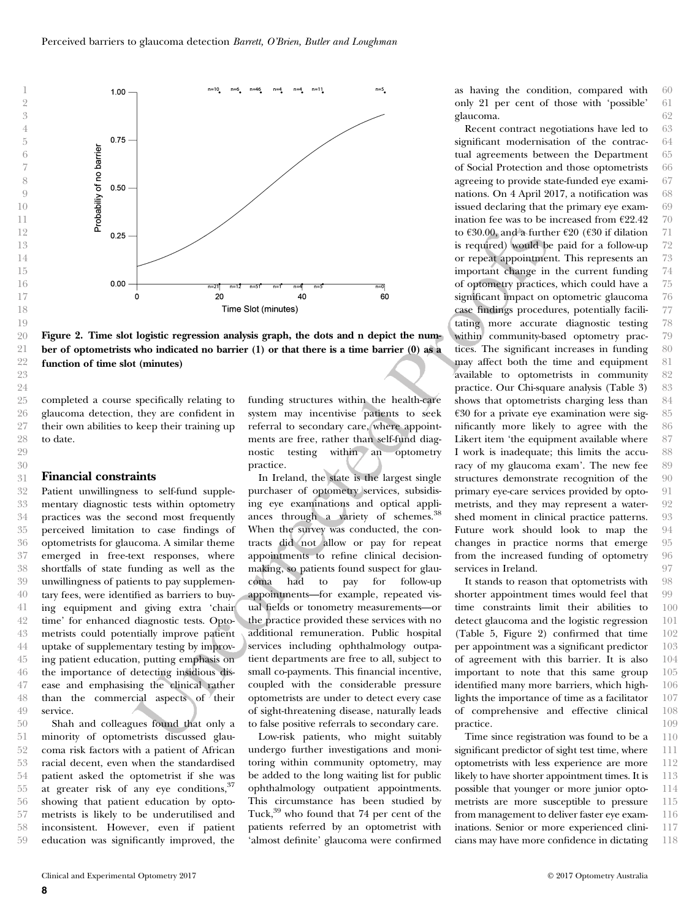1



Figure 2. Time slot logistic regression analysis graph, the dots and n depict the number of optometrists who indicated no barrier  $(1)$  or that there is a time barrier  $(0)$  as a function of time slot (minutes)

completed a course specifically relating to glaucoma detection, they are confident in their own abilities to keep their training up

#### Financial constraints

Patient unwillingness to self-fund supplementary diagnostic tests within optometry practices was the second most frequently perceived limitation to case findings of optometrists for glaucoma. A similar theme emerged in free-text responses, where shortfalls of state funding as well as the unwillingness of patients to pay supplementary fees, were identified as barriers to buying equipment and giving extra 'chair time' for enhanced diagnostic tests. Optometrists could potentially improve patient uptake of supplementary testing by improving patient education, putting emphasis on the importance of detecting insidious disease and emphasising the clinical rather than the commercial aspects of their service. 37 38 39 40 41 49 43 44 45 46 47 48 49

Shah and colleagues found that only a minority of optometrists discussed glaucoma risk factors with a patient of African racial decent, even when the standardised patient asked the optometrist if she was at greater risk of any eye conditions,  $37$ showing that patient education by optometrists is likely to be underutilised and inconsistent. However, even if patient education was significantly improved, the  $50$ 51 52 53 54 55 56 57 58 59

funding structures within the health-care system may incentivise patients to seek referral to secondary care, where appointments are free, rather than self-fund diagnostic testing within an optometry practice.

In Ireland, the state is the largest single purchaser of optometry services, subsidising eye examinations and optical appliances through a variety of schemes.<sup>38</sup> When the survey was conducted, the contracts did not allow or pay for repeat appointments to refine clinical decisionmaking, so patients found suspect for glaucoma had to pay for follow-up appointments—for example, repeated visual fields or tonometry measurements—or the practice provided these services with no additional remuneration. Public hospital services including ophthalmology outpatient departments are free to all, subject to small co-payments. This financial incentive, coupled with the considerable pressure optometrists are under to detect every case of sight-threatening disease, naturally leads to false positive referrals to secondary care.

Low-risk patients, who might suitably undergo further investigations and monitoring within community optometry, may be added to the long waiting list for public ophthalmology outpatient appointments. This circumstance has been studied by Tuck,39 who found that 74 per cent of the patients referred by an optometrist with 'almost definite' glaucoma were confirmed as having the condition, compared with only 21 per cent of those with 'possible' glaucoma.

60 61 69

Recent contract negotiations have led to significant modernisation of the contractual agreements between the Department of Social Protection and those optometrists agreeing to provide state-funded eye examinations. On 4 April 2017, a notification was issued declaring that the primary eye examination fee was to be increased from €22.42 to  $€30.00$ , and a further  $€20$  ( $€30$  if dilation is required) would be paid for a follow-up or repeat appointment. This represents an important change in the current funding of optometry practices, which could have a significant impact on optometric glaucoma case findings procedures, potentially facilitating more accurate diagnostic testing within community-based optometry practices. The significant increases in funding may affect both the time and equipment available to optometrists in community practice. Our Chi-square analysis (Table 3) shows that optometrists charging less than  $€30$  for a private eye examination were significantly more likely to agree with the Likert item 'the equipment available where I work is inadequate; this limits the accuracy of my glaucoma exam'. The new fee structures demonstrate recognition of the primary eye-care services provided by optometrists, and they may represent a watershed moment in clinical practice patterns. Future work should look to map the changes in practice norms that emerge from the increased funding of optometry services in Ireland. 63 64 65 66 67 68 69 70 71 79 73 74 75 76 77 78 79 80 81 82 83 84 85 86 87 88 89 90  $Q_1$ 99  $Q<sub>2</sub>$ 94 95 96 97

It stands to reason that optometrists with shorter appointment times would feel that time constraints limit their abilities to detect glaucoma and the logistic regression (Table 5, Figure 2) confirmed that time per appointment was a significant predictor of agreement with this barrier. It is also important to note that this same group identified many more barriers, which highlights the importance of time as a facilitator of comprehensive and effective clinical practice. 98 99 100 101 102 103 104 105 106 107 108 109

Time since registration was found to be a significant predictor of sight test time, where optometrists with less experience are more likely to have shorter appointment times. It is possible that younger or more junior optometrists are more susceptible to pressure from management to deliver faster eye examinations. Senior or more experienced clinicians may have more confidence in dictating 110 111 112 113 114 115 116 117 118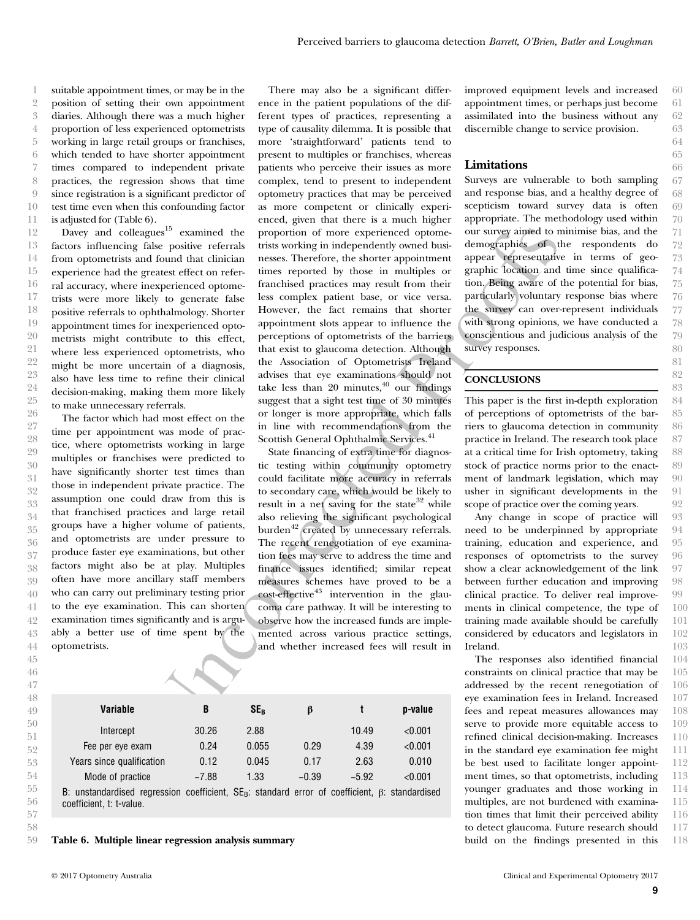suitable appointment times, or may be in the position of setting their own appointment diaries. Although there was a much higher proportion of less experienced optometrists working in large retail groups or franchises, which tended to have shorter appointment times compared to independent private practices, the regression shows that time since registration is a significant predictor of test time even when this confounding factor is adjusted for (Table 6).

Davey and colleagues $15$  examined the factors influencing false positive referrals from optometrists and found that clinician experience had the greatest effect on referral accuracy, where inexperienced optometrists were more likely to generate false positive referrals to ophthalmology. Shorter appointment times for inexperienced optometrists might contribute to this effect, where less experienced optometrists, who might be more uncertain of a diagnosis, also have less time to refine their clinical decision-making, making them more likely to make unnecessary referrals.

The factor which had most effect on the time per appointment was mode of practice, where optometrists working in large multiples or franchises were predicted to have significantly shorter test times than those in independent private practice. The assumption one could draw from this is that franchised practices and large retail groups have a higher volume of patients, and optometrists are under pressure to produce faster eye examinations, but other factors might also be at play. Multiples often have more ancillary staff members who can carry out preliminary testing prior to the eye examination. This can shorten examination times significantly and is arguably a better use of time spent by the optometrists.

There may also be a significant difference in the patient populations of the different types of practices, representing a type of causality dilemma. It is possible that more 'straightforward' patients tend to present to multiples or franchises, whereas patients who perceive their issues as more complex, tend to present to independent optometry practices that may be perceived as more competent or clinically experienced, given that there is a much higher proportion of more experienced optometrists working in independently owned businesses. Therefore, the shorter appointment times reported by those in multiples or franchised practices may result from their less complex patient base, or vice versa. However, the fact remains that shorter appointment slots appear to influence the perceptions of optometrists of the barriers that exist to glaucoma detection. Although the Association of Optometrists Ireland advises that eye examinations should not take less than 20 minutes,  $40$  our findings suggest that a sight test time of 30 minutes or longer is more appropriate, which falls in line with recommendations from the Scottish General Ophthalmic Services.<sup>41</sup>

State financing of extra time for diagnostic testing within community optometry could facilitate more accuracy in referrals to secondary care, which would be likely to result in a net saving for the state  $32$  while also relieving the significant psychological burden<sup>42</sup> created by unnecessary referrals. The recent renegotiation of eye examination fees may serve to address the time and finance issues identified; similar repeat measures schemes have proved to be a  $\cos t$ -effective<sup>43</sup> intervention in the glaucoma care pathway. It will be interesting to observe how the increased funds are implemented across various practice settings, and whether increased fees will result in

| <b>Variable</b>                                                                                                                      | B       | SE <sub>R</sub> | β       |         | p-value |
|--------------------------------------------------------------------------------------------------------------------------------------|---------|-----------------|---------|---------|---------|
| Intercept                                                                                                                            | 30.26   | 2.88            |         | 10.49   | < 0.001 |
| Fee per eve exam                                                                                                                     | 0.24    | 0.055           | 0.29    | 4.39    | < 0.001 |
| Years since qualification                                                                                                            | 0.12    | 0.045           | 0.17    | 2.63    | 0.010   |
| Mode of practice                                                                                                                     | $-7.88$ | 1.33            | $-0.39$ | $-5.92$ | < 0.001 |
| B: unstandardised regression coefficient, $SE_B$ : standard error of coefficient, $\beta$ : standardised<br>coefficient, t: t-value. |         |                 |         |         |         |

Table 6. Multiple linear regression analysis summary

improved equipment levels and increased appointment times, or perhaps just become assimilated into the business without any discernible change to service provision.

#### Limitations

Surveys are vulnerable to both sampling and response bias, and a healthy degree of scepticism toward survey data is often appropriate. The methodology used within our survey aimed to minimise bias, and the demographics of the respondents do appear representative in terms of geographic location and time since qualification. Being aware of the potential for bias, particularly voluntary response bias where the survey can over-represent individuals with strong opinions, we have conducted a conscientious and judicious analysis of the survey responses.

#### **CONCLUSIONS**

This paper is the first in-depth exploration of perceptions of optometrists of the barriers to glaucoma detection in community practice in Ireland. The research took place at a critical time for Irish optometry, taking stock of practice norms prior to the enactment of landmark legislation, which may usher in significant developments in the scope of practice over the coming years.

Any change in scope of practice will need to be underpinned by appropriate training, education and experience, and responses of optometrists to the survey show a clear acknowledgement of the link between further education and improving clinical practice. To deliver real improvements in clinical competence, the type of training made available should be carefully considered by educators and legislators in Ireland. 103

The responses also identified financial constraints on clinical practice that may be addressed by the recent renegotiation of eye examination fees in Ireland. Increased fees and repeat measures allowances may serve to provide more equitable access to refined clinical decision-making. Increases in the standard eye examination fee might be best used to facilitate longer appointment times, so that optometrists, including younger graduates and those working in multiples, are not burdened with examination times that limit their perceived ability to detect glaucoma. Future research should build on the findings presented in this 104 105 106 107 108 109 110 111 112 113 114 115 116 117 118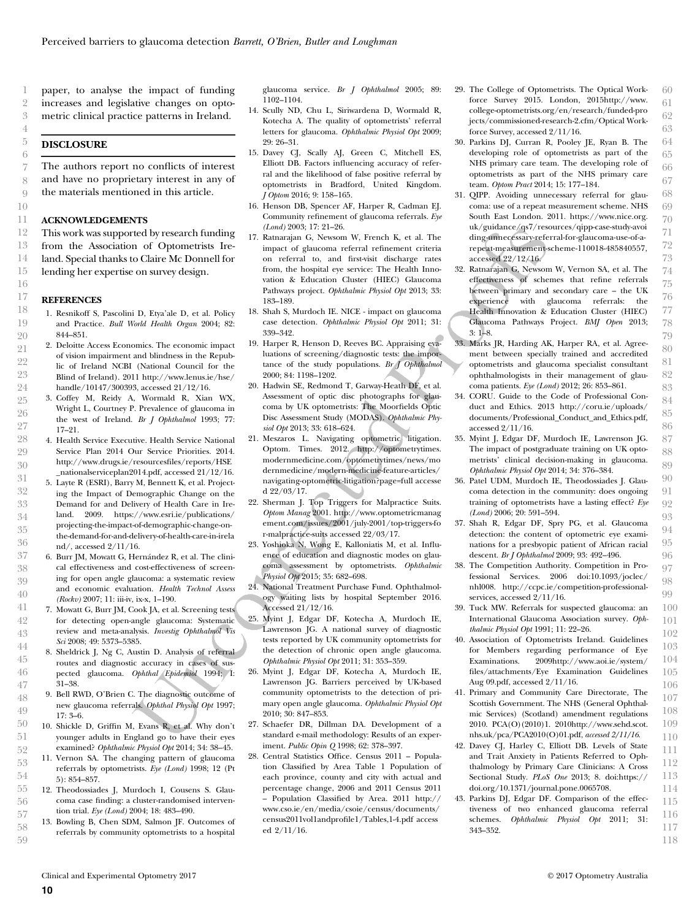paper, to analyse the impact of funding increases and legislative changes on optometric clinical practice patterns in Ireland.

#### **DISCLOSURE**

16 17

The authors report no conflicts of interest and have no proprietary interest in any of the materials mentioned in this article.

#### ACKNOWLEDGEMENTS

This work was supported by research funding from the Association of Optometrists Ireland. Special thanks to Claire Mc Donnell for lending her expertise on survey design. 12 13 14 15

#### **REFERENCES**

- 1. Resnikoff S, Pascolini D, Etya'ale D, et al. Policy and Practice. Bull World Health Organ 2004; 82: 844–851. 18 19  $20$
- 2. Deloitte Access Economics. The economic impact of vision impairment and blindness in the Republic of Ireland NCBI (National Council for the Blind of Ireland). 2011 [http://www.lenus.ie/hse/](http://www.lenus.ie/hse/handle/10147/300393) [handle/10147/300393](http://www.lenus.ie/hse/handle/10147/300393), accessed 21/12/16. 21 22 23 24
- 3. Coffey M, Reidy A, Wormald R, Xian WX, Wright L, Courtney P. Prevalence of glaucoma in the west of Ireland. Br J Ophthalmol 1993; 77: 17–21. 25 26 27
- 4. Health Service Executive. Health Service National Service Plan 2014 Our Service Priorities. 2014. [http://www.drugs.ie/resources](http://www.drugs.ie/resourcesfiles/reports/HSE_nationalserviceplan2014.pdf)files/reports/HSE [\\_nationalserviceplan2014.pdf](http://www.drugs.ie/resourcesfiles/reports/HSE_nationalserviceplan2014.pdf), accessed 21/12/16. 98  $90$ 30 31
- 5. Layte R (ESRI), Barry M, Bennett K, et al. Projecting the Impact of Demographic Change on the Demand for and Delivery of Health Care in Ireland. 2009. [https://www.esri.ie/publications/](https://www.esri.ie/publications/projecting-the-impact-of-demographic-change-on-the-demand-for-and-delivery-of-health-care-in-ireland) [projecting-the-impact-of-demographic-change-on](https://www.esri.ie/publications/projecting-the-impact-of-demographic-change-on-the-demand-for-and-delivery-of-health-care-in-ireland)[the-demand-for-and-delivery-of-health-care-in-irela](https://www.esri.ie/publications/projecting-the-impact-of-demographic-change-on-the-demand-for-and-delivery-of-health-care-in-ireland) [nd/,](https://www.esri.ie/publications/projecting-the-impact-of-demographic-change-on-the-demand-for-and-delivery-of-health-care-in-ireland) accessed 2/11/16. 39 33 34 35 36
- 6. Burr JM, Mowatt G, Hernández R, et al. The clinical effectiveness and cost-effectiveness of screening for open angle glaucoma: a systematic review and economic evaluation. Health Technol Assess (Rockv) 2007; 11: iii-iv, ix-x, 1–190. 37 38 39 40
- 7. Mowatt G, Burr JM, Cook JA, et al. Screening tests for detecting open-angle glaucoma: Systematic review and meta-analysis. Investig Ophthalmol Vis Sci 2008; 49: 5373–5385. 41 49 43 44
- 8. Sheldrick J, Ng C, Austin D. Analysis of referral routes and diagnostic accuracy in cases of suspected glaucoma. Ophthal Epidemiol 1994; I: 31–38. 45 46 47
	- 9. Bell RWD, O'Brien C. The diagnostic outcome of new glaucoma referrals. Ophthal Physiol Opt 1997; 17: 3–6.
- 10. Shickle D, Griffin M, Evans R, et al. Why don't younger adults in England go to have their eyes examined? Ophthalmic Physiol Opt 2014; 34: 38–45.  $50$ 51 52
- 11. Vernon SA. The changing pattern of glaucoma referrals by optometrists. Eye (Lond) 1998; 12 (Pt 5): 854–857. 53 54
- 12. Theodossiades J, Murdoch I, Cousens S. Glaucoma case finding: a cluster-randomised intervention trial. Eye (Lond) 2004; 18: 483–490. 55 56 57
- 13. Bowling B, Chen SDM, Salmon JF. Outcomes of referrals by community optometrists to a hospital 58 59

glaucoma service. Br J Ophthalmol 2005; 89: 1102–1104.

- 14. Scully ND, Chu L, Siriwardena D, Wormald R, Kotecha A. The quality of optometrists' referral letters for glaucoma. Ophthalmic Physiol Opt 2009; 29: 26–31.
- 15. Davey CJ, Scally AJ, Green C, Mitchell ES, Elliott DB. Factors influencing accuracy of referral and the likelihood of false positive referral by optometrists in Bradford, United Kingdom. J Optom 2016; 9: 158–165.
- 16. Henson DB, Spencer AF, Harper R, Cadman EJ. Community refinement of glaucoma referrals. Eye (Lond) 2003; 17: 21–26.
- 17. Ratnarajan G, Newsom W, French K, et al. The impact of glaucoma referral refinement criteria on referral to, and first-visit discharge rates from, the hospital eye service: The Health Innovation & Education Cluster (HIEC) Glaucoma Pathways project. Ophthalmic Physiol Opt 2013; 33: 183–189.
- 18. Shah S, Murdoch IE. NICE impact on glaucoma case detection. Ophthalmic Physiol Opt 2011; 31: 339–342.
- 19. Harper R, Henson D, Reeves BC. Appraising evaluations of screening/diagnostic tests: the importance of the study populations. Br  $\int$  Ophthalmol 2000; 84: 1198–1202.
- 20. Hadwin SE, Redmond T, Garway-Heath DF, et al. Assessment of optic disc photographs for glaucoma by UK optometrists: The Moorfields Optic Disc Assessment Study (MODAS). Ophthalmic Physiol Opt 2013; 33: 618–624.
- 21. Meszaros L. Navigating optometric litigation. Optom. Times. 2012. [http://optometrytimes.](http://optometrytimes.modernmedicine.com/optometrytimes/news/modernmedicine/modern-medicine-feature-articles/navigating-optometric-litigation?page=full) [modernmedicine.com/optometrytimes/news/mo](http://optometrytimes.modernmedicine.com/optometrytimes/news/modernmedicine/modern-medicine-feature-articles/navigating-optometric-litigation?page=full) [dernmedicine/modern-medicine-feature-articles/](http://optometrytimes.modernmedicine.com/optometrytimes/news/modernmedicine/modern-medicine-feature-articles/navigating-optometric-litigation?page=full) [navigating-optometric-litigation?page=full](http://optometrytimes.modernmedicine.com/optometrytimes/news/modernmedicine/modern-medicine-feature-articles/navigating-optometric-litigation?page=full) accesse d 22/03/17.
- 22. Sherman J. Top Triggers for Malpractice Suits. Optom Manag 2001. [http://www.optometricmanag](http://www.optometricmanagement.com/issues/2001/july-2001/top-triggers-for-malpractice-suits) [ement.com/issues/2001/july-2001/top-triggers-fo](http://www.optometricmanagement.com/issues/2001/july-2001/top-triggers-for-malpractice-suits) [r-malpractice-suits](http://www.optometricmanagement.com/issues/2001/july-2001/top-triggers-for-malpractice-suits) accessed 22/03/17.
- 23. Yoshioka N, Wong E, Kalloniatis M, et al. Influence of education and diagnostic modes on glaucoma assessment by optometrists. Ophthalmic Physiol Opt 2015; 35: 682–698.
- 24. National Treatment Purchase Fund. Ophthalmology waiting lists by hospital September 2016. Accessed 21/12/16.
- 25. Myint J, Edgar DF, Kotecha A, Murdoch IE, Lawrenson JG. A national survey of diagnostic tests reported by UK community optometrists for the detection of chronic open angle glaucoma. Ophthalmic Physiol Opt 2011; 31: 353–359.
- 26. Myint J, Edgar DF, Kotecha A, Murdoch IE, Lawrenson JG. Barriers perceived by UK-based community optometrists to the detection of primary open angle glaucoma. Ophthalmic Physiol Opt 2010; 30: 847–853.
- 27. Schaefer DR, Dillman DA. Development of a standard e-mail methodology: Results of an experiment. Public Opin Q 1998; 62: 378–397.
- 28. Central Statistics Office. Census 2011 Population Classified by Area Table 1 Population of each province, county and city with actual and percentage change, 2006 and 2011 Census 2011 – Population Classified by Area. 2011 [http://](http://www.cso.ie/en/media/csoie/census/documents/census2011vol1andprofile1/Tables) [www.cso.ie/en/media/csoie/census/documents/](http://www.cso.ie/en/media/csoie/census/documents/census2011vol1andprofile1/Tables) [census2011vol1andpro](http://www.cso.ie/en/media/csoie/census/documents/census2011vol1andprofile1/Tables)file1/Tables,1-4.pdf access ed 2/11/16.
- 29. The College of Optometrists. The Optical Workforce Survey 2015. London, 2015http:/[/www.](http://www.college-optometrists.org/en/research/funded-projects/commissioned-research-2.cfm/Optical) [college-optometrists.org/en/research/funded-pro](http://www.college-optometrists.org/en/research/funded-projects/commissioned-research-2.cfm/Optical) [jects/commissioned-research-2.cfm/Optical](http://www.college-optometrists.org/en/research/funded-projects/commissioned-research-2.cfm/Optical) Workforce Survey, accessed 2/11/16. 60 61 69 63 64
- 30. Parkins DJ, Curran R, Pooley JE, Ryan B. The developing role of optometrists as part of the NHS primary care team. The developing role of optometrists as part of the NHS primary care team. Optom Pract 2014; 15: 177–184.

- 31. QIPP. Avoiding unnecessary referral for glaucoma: use of a repeat measurement scheme. NHS South East London. 2011. [https://www.nice.org.](https://www.nice.org.uk/guidance/qs7/resources/qipp-case-study-avoiding-unnecessary-referral-for-glaucoma-use-of-a-repeat-measurement-scheme-110018-485840557) [uk/guidance/qs7/resources/qipp-case-study-avoi](https://www.nice.org.uk/guidance/qs7/resources/qipp-case-study-avoiding-unnecessary-referral-for-glaucoma-use-of-a-repeat-measurement-scheme-110018-485840557) [ding-unnecessary-referral-for-glaucoma-use-of-a](https://www.nice.org.uk/guidance/qs7/resources/qipp-case-study-avoiding-unnecessary-referral-for-glaucoma-use-of-a-repeat-measurement-scheme-110018-485840557)[repeat-measurement-scheme-110018-485840557](https://www.nice.org.uk/guidance/qs7/resources/qipp-case-study-avoiding-unnecessary-referral-for-glaucoma-use-of-a-repeat-measurement-scheme-110018-485840557), accessed 22/12/16.
- 32. Ratnarajan G, Newsom W, Vernon SA, et al. The effectiveness of schemes that refine referrals between primary and secondary care – the UK experience with glaucoma referrals: the Health Innovation & Education Cluster (HIEC) Glaucoma Pathways Project. BMJ Open 2013; 3: 1–8.
- 33. Marks JR, Harding AK, Harper RA, et al. Agreement between specially trained and accredited optometrists and glaucoma specialist consultant ophthalmologists in their management of glaucoma patients. Eye (Lond) 2012; 26: 853–861.
- 34. CORU. Guide to the Code of Professional Conduct and Ethics. 2013 [http://coru.ie/uploads/](http://coru.ie/uploads/documents/Professional_Conduct_and_Ethics.pdf) [documents/Professional\\_Conduct\\_and\\_Ethics.pdf](http://coru.ie/uploads/documents/Professional_Conduct_and_Ethics.pdf), accessed 2/11/16.
- 35. Myint J, Edgar DF, Murdoch IE, Lawrenson JG. The impact of postgraduate training on UK optometrists' clinical decision-making in glaucoma. Ophthalmic Physiol Opt 2014; 34: 376–384.
- 36. Patel UDM, Murdoch IE, Theodossiades J. Glaucoma detection in the community: does ongoing training of optometrists have a lasting effect? Eye (Lond) 2006; 20: 591–594.
- 37. Shah R, Edgar DF, Spry PG, et al. Glaucoma detection: the content of optometric eye examinations for a presbyopic patient of African racial descent. Br J Ophthalmol 2009; 93: 492–496.
- 38. The Competition Authority. Competition in Professional Services. 2006 doi:10.1093/joclec/ nhl008. [http://ccpc.ie/competition-professional](http://ccpc.ie/competition-professional-services)[services](http://ccpc.ie/competition-professional-services), accessed 2/11/16.
- 39. Tuck MW. Referrals for suspected glaucoma: an International Glaucoma Association survey. Ophthalmic Physiol Opt 1991; 11: 22–26. 100 101 102
- 40. Association of Optometrists Ireland. Guidelines for Members regarding performance of Eye Examinations. 2009http:/[/www.aoi.ie/system/](http://www.aoi.ie/system/files/attachments/Eye) fi[les/attachments/Eye](http://www.aoi.ie/system/files/attachments/Eye) Examination Guidelines Aug 09.pdf, accessed 2/11/16. 103 104 105 106
- 41. Primary and Community Care Directorate, The Scottish Government. The NHS (General Ophthalmic Services) (Scotland) amendment regulations 2010. PCA(O)(2010)1. 2010http:/[/www.sehd.scot.](http://www.sehd.scot.nhs.uk/pca/PCA2010) [nhs.uk/pca/PCA2010](http://www.sehd.scot.nhs.uk/pca/PCA2010)(O)01.pdf, accessed 2/11/16.
- 42. Davey CJ, Harley C, Elliott DB. Levels of State and Trait Anxiety in Patients Referred to Ophthalmology by Primary Care Clinicians: A Cross Sectional Study. PLoS One 2013; 8. doi:[https://](https://doi.org/10.1371/journal.pone.0065708) [doi.org/10.1371/journal.pone.0065708](https://doi.org/10.1371/journal.pone.0065708). 111 112 113 114
- 43. Parkins DJ, Edgar DF. Comparison of the effectiveness of two enhanced glaucoma referral schemes. Ophthalmic Physiol Opt 2011; 31: 343–352. 115 116 117 118

48 49